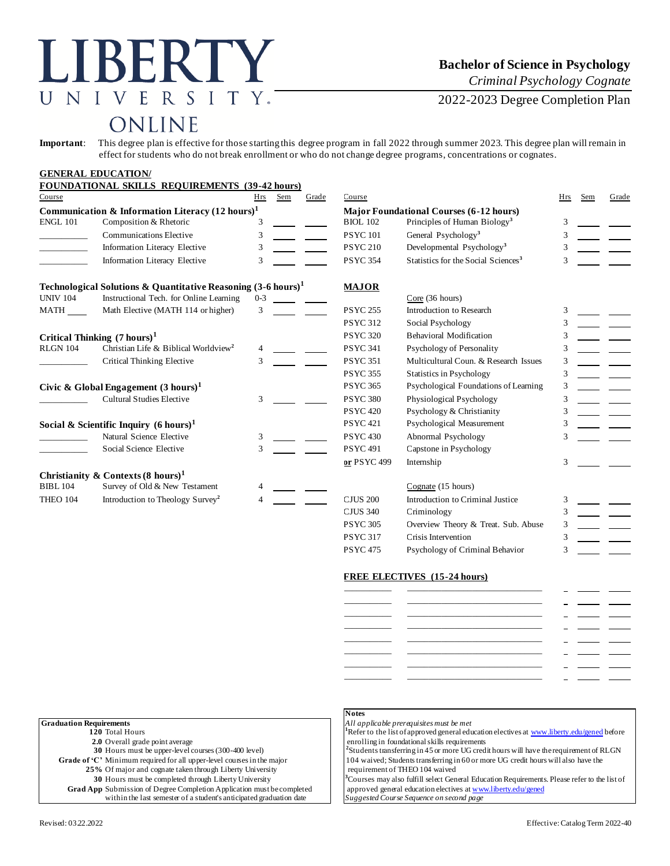# LIBERTY UNIVERSITY.

### **Bachelor of Science in Psychology**

*Criminal Psychology Cognate*

2022-2023 Degree Completion Plan

## ONLINE

**Important**: This degree plan is effective for those starting this degree program in fall 2022 through summer 2023. This degree plan will remain in effect for students who do not break enrollment or who do not change degree programs, concentrations or cognates.

|                                                             | <b>GENERAL EDUCATION/</b>                                                |                 |                                |                                                |                                                 |     |     |       |
|-------------------------------------------------------------|--------------------------------------------------------------------------|-----------------|--------------------------------|------------------------------------------------|-------------------------------------------------|-----|-----|-------|
|                                                             | <b>FOUNDATIONAL SKILLS REQUIREMENTS (39-42 hours)</b>                    |                 |                                |                                                |                                                 |     |     |       |
| Course                                                      |                                                                          | Hrs             | Sem<br>Grade                   | Course                                         |                                                 | Hrs | Sem | Grade |
| Communication & Information Literacy $(12 \text{ hours})^1$ |                                                                          |                 |                                | <b>Major Foundational Courses (6-12 hours)</b> |                                                 |     |     |       |
| <b>ENGL 101</b>                                             | Composition & Rhetoric                                                   | 3               |                                | <b>BIOL 102</b>                                | Principles of Human Biology <sup>3</sup>        | 3   |     |       |
|                                                             | <b>Communications Elective</b>                                           | 3               |                                | <b>PSYC101</b>                                 | General Psychology <sup>3</sup>                 |     |     |       |
|                                                             | Information Literacy Elective                                            | 3               |                                | <b>PSYC 210</b>                                | Developmental Psychology <sup>3</sup>           |     |     |       |
|                                                             | <b>Information Literacy Elective</b>                                     | 3               |                                | <b>PSYC 354</b>                                | Statistics for the Social Sciences <sup>3</sup> |     |     |       |
|                                                             | Technological Solutions & Quantitative Reasoning $(3-6 \text{ hours})^1$ |                 |                                | <b>MAJOR</b>                                   |                                                 |     |     |       |
| <b>UNIV 104</b>                                             | Instructional Tech. for Online Learning                                  | $0 - 3$         |                                |                                                | Core(36 hours)                                  |     |     |       |
| MATH                                                        | Math Elective (MATH 114 or higher)                                       | 3               |                                | <b>PSYC 255</b>                                | Introduction to Research                        |     |     |       |
|                                                             |                                                                          |                 |                                | <b>PSYC 312</b>                                | Social Psychology                               |     |     |       |
| Critical Thinking $(7 \text{ hours})^1$                     |                                                                          | <b>PSYC 320</b> | <b>Behavioral Modification</b> |                                                |                                                 |     |     |       |
| <b>RLGN 104</b>                                             | Christian Life & Biblical Worldview <sup>2</sup>                         |                 |                                | <b>PSYC 341</b>                                | Psychology of Personality                       | 3   |     |       |
|                                                             | <b>Critical Thinking Elective</b>                                        | 3               |                                | <b>PSYC 351</b>                                | Multicultural Coun. & Research Issues           | 3   |     |       |
|                                                             |                                                                          |                 |                                | <b>PSYC 355</b>                                | <b>Statistics in Psychology</b>                 | 3   |     |       |
|                                                             | Civic & Global Engagement $(3 \text{ hours})^1$                          |                 |                                | <b>PSYC 365</b>                                | Psychological Foundations of Learning           | 3   |     |       |
|                                                             | <b>Cultural Studies Elective</b>                                         | 3               |                                | <b>PSYC 380</b>                                | Physiological Psychology                        | 3   |     |       |
|                                                             |                                                                          |                 |                                | <b>PSYC 420</b>                                | Psychology & Christianity                       | 3   |     |       |
|                                                             | Social & Scientific Inquiry $(6 \text{ hours})^1$                        |                 |                                | <b>PSYC 421</b>                                | Psychological Measurement                       |     |     |       |
|                                                             | Natural Science Elective                                                 | 3               |                                | <b>PSYC 430</b>                                | Abnormal Psychology                             |     |     |       |
|                                                             | Social Science Elective                                                  | 3               |                                | <b>PSYC 491</b>                                | Capstone in Psychology                          |     |     |       |
|                                                             |                                                                          |                 |                                | or PSYC 499                                    | Internship                                      | 3   |     |       |
|                                                             | Christianity & Contexts $(8 \text{ hours})^1$                            |                 |                                |                                                |                                                 |     |     |       |
| <b>BIBL 104</b>                                             | Survey of Old & New Testament                                            |                 |                                |                                                | Cognate (15 hours)                              |     |     |       |
| <b>THEO 104</b>                                             | Introduction to Theology Survey <sup>2</sup>                             |                 |                                | <b>CJUS 200</b>                                | Introduction to Criminal Justice                |     |     |       |
|                                                             |                                                                          |                 |                                | <b>CJUS 340</b>                                | Criminology                                     |     |     |       |
|                                                             |                                                                          |                 |                                | <b>PSYC 305</b>                                | Overview Theory & Treat. Sub. Abuse             |     |     |       |

#### **FREE ELECTIVES (15-24 hours)**

PSYC 317 Crisis Intervention 3 PSYC 475 Psychology of Criminal Behavior 3

|                | <b>Contract Contract Contract</b> |  |
|----------------|-----------------------------------|--|
|                |                                   |  |
|                |                                   |  |
| ______________ |                                   |  |
|                |                                   |  |
| __________     |                                   |  |

| <b>Graduation Requirements</b>                                         | All applicable prerequisites must be met               |
|------------------------------------------------------------------------|--------------------------------------------------------|
| 120 Total Hours                                                        | <sup>1</sup> Refer to the list of approved general edu |
| 2.0 Overall grade point average                                        | enrolling in foundational skills requirem              |
| 30 Hours must be upper-level courses (300-400 level)                   | <sup>2</sup> Students transferring in 45 or more UG    |
| Grade of 'C' Minimum required for all upper-level courses in the major | 104 waived; Students transferring in 60 o              |
| 25% Of major and cognate taken through Liberty University              | requirement of THEO 104 waived                         |
| 30 Hours must be completed through Liberty University                  | <sup>3</sup> Courses may also fulfill select General I |
| Grad App Submission of Degree Completion Application must be completed | approved general education electives at                |
| within the last semester of a student's anticipated graduation date    | Suggested Course Sequence on second po                 |
|                                                                        |                                                        |

#### **Notes**

<sup>1</sup>Refer to the list of approved general education electives [at www.liberty.edu/gened](http://www.liberty.edu/gened) before enrolling in foundational skills requirements Students transferring in 45 or more UG credit hours will have the requirement of RLGN 104 waived; Students transferring in 60 or more UG credit hours will also have the requirement of THEO 104 waived <sup>3</sup>Courses may also fulfill select General Education Requirements. Please refer to the list of

approved general education electives [at www.liberty.edu/gened](http://www.liberty.edu/gened)  $Suggested$  Course Sequence on second page